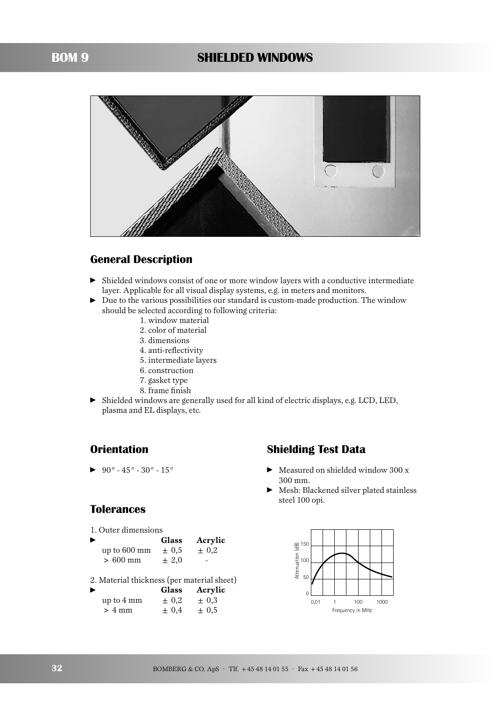

## **General Description**

- Shielded windows consist of one or more window layers with a conductive intermediate layer. Applicable for all visual display systems, e.g. in meters and monitors.
- ► Due to the various possibilities our standard is custom-made production. The window should be selected according to following criteria:
	- 1. window material
	- 2. color of material
	- 3. dimensions
	- 4. anti-reflectivity
	- 5. intermediate layers
	- 6. construction
	- 7. gasket type
	- 8. frame finish
- Shielded windows are generally used for all kind of electric displays, e.g. LCD, LED, plasma and EL displays, etc.

# **Orientation**

- $90^\circ$  -  $45^\circ$  -  $30^\circ$  -  $15^\circ$ 

#### **Tolerances**

1. Outer dimensions

| ▶ |                        | <b>Glass</b> | Acrylic   |
|---|------------------------|--------------|-----------|
|   | up to $600 \text{ mm}$ | $\pm 0.5$    | $\pm 0.2$ |
|   | $>600$ mm              | $+2.0$       |           |

2. Material thickness (per material sheet)

| ▸                | <b>Glass</b> | Acrylic   |
|------------------|--------------|-----------|
| up to 4 mm       | $\pm 0.2$    | $\pm 0.3$ |
| $> 4 \text{ mm}$ | $\pm 0.4$    | $\pm 0.5$ |

# **Shielding Test Data**

- ► Measured on shielded window 300 x 300 mm.
- Mesh: Blackened silver plated stainless steel 100 opi.

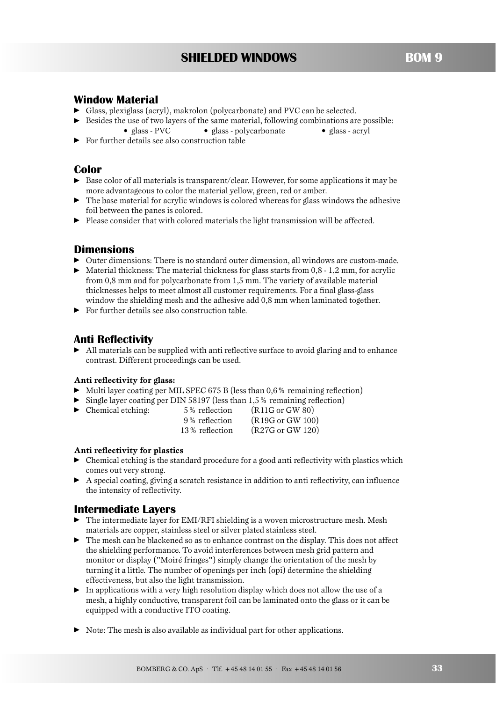## **Window Material**

- Glass, plexiglass (acryl), makrolon (polycarbonate) and PVC can be selected.
- Besides the use of two layers of the same material, following combinations are possible: • glass - PVC • glass - polycarbonate • glass - acryl
- For further details see also construction table

### **Color**

- ▶ Base color of all materials is transparent/clear. However, for some applications it may be more advantageous to color the material yellow, green, red or amber.
- $\blacktriangleright$  The base material for acrylic windows is colored whereas for glass windows the adhesive foil between the panes is colored.
- ▶ Please consider that with colored materials the light transmission will be affected.

#### **Dimensions**

- Outer dimensions: There is no standard outer dimension, all windows are custom-made.
- $\blacktriangleright$  Material thickness: The material thickness for glass starts from 0,8 1,2 mm, for acrylic from 0,8 mm and for polycarbonate from 1,5 mm. The variety of available material thicknesses helps to meet almost all customer requirements. For a final glass-glass window the shielding mesh and the adhesive add 0,8 mm when laminated together.
- For further details see also construction table.

#### **Anti Reflectivity**

-

- All materials can be supplied with anti reflective surface to avoid glaring and to enhance contrast. Different proceedings can be used.

#### **Anti reflectivity for glass:**

- Multi layer coating per MIL SPEC 675 B (less than 0,6% remaining reflection)
- Single layer coating per DIN 58197 (less than 1,5% remaining reflection)

| Chemical etching: | 5% reflection  | (R11G or GW 80)             |
|-------------------|----------------|-----------------------------|
|                   | 9% reflection  | $(R19G \text{ or } GW 100)$ |
|                   | 13% reflection | (R27G or GW 120)            |

#### **Anti reflectivity for plastics**

- $\blacktriangleright$  Chemical etching is the standard procedure for a good anti reflectivity with plastics which comes out very strong.
- A special coating, giving a scratch resistance in addition to anti reflectivity, can influence the intensity of reflectivity.

#### **Intermediate Layers**

- ► The intermediate layer for EMI/RFI shielding is a woven microstructure mesh. Mesh materials are copper, stainless steel or silver plated stainless steel.
- The mesh can be blackened so as to enhance contrast on the display. This does not affect the shielding performance. To avoid interferences between mesh grid pattern and monitor or display ("Moiré fringes") simply change the orientation of the mesh by turning it a little. The number of openings per inch (opi) determine the shielding effectiveness, but also the light transmission.
- In applications with a very high resolution display which does not allow the use of a mesh, a highly conductive, transparent foil can be laminated onto the glass or it can be equipped with a conductive ITO coating.
- Note: The mesh is also available as individual part for other applications.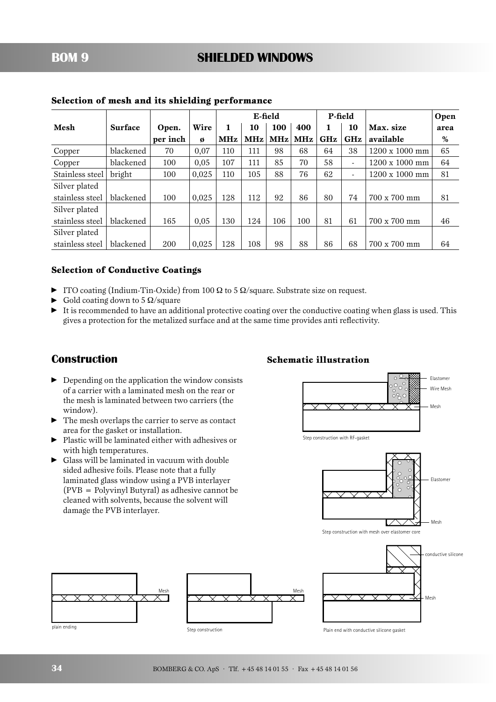|                 |                |          |       | E-field    |     | P-field    |            |            | Open                     |                       |      |
|-----------------|----------------|----------|-------|------------|-----|------------|------------|------------|--------------------------|-----------------------|------|
| Mesh            | <b>Surface</b> | Open.    | Wire  | 1          | 10  | 100        | 400        |            | 10                       | Max. size             | area |
|                 |                | per inch | Ø     | <b>MHz</b> | MHz | <b>MHz</b> | <b>MHz</b> | <b>GHz</b> | <b>GHz</b>               | available             | %    |
| Copper          | blackened      | 70       | 0,07  | 110        | 111 | 98         | 68         | 64         | 38                       | $1200 \times 1000$ mm | 65   |
| Copper          | blackened      | 100      | 0,05  | 107        | 111 | 85         | 70         | 58         | Ξ.                       | $1200 \times 1000$ mm | 64   |
| Stainless steel | bright         | 100      | 0,025 | 110        | 105 | 88         | 76         | 62         | $\overline{\phantom{0}}$ | $1200 \times 1000$ mm | 81   |
| Silver plated   |                |          |       |            |     |            |            |            |                          |                       |      |
| stainless steel | blackened      | 100      | 0,025 | 128        | 112 | 92         | 86         | 80         | 74                       | 700 x 700 mm          | 81   |
| Silver plated   |                |          |       |            |     |            |            |            |                          |                       |      |
| stainless steel | blackened      | 165      | 0,05  | 130        | 124 | 106        | 100        | 81         | 61                       | 700 x 700 mm          | 46   |
| Silver plated   |                |          |       |            |     |            |            |            |                          |                       |      |
| stainless steel | blackened      | 200      | 0,025 | 128        | 108 | 98         | 88         | 86         | 68                       | 700 x 700 mm          | 64   |

#### **Selection of mesh and its shielding performance**

#### **Selection of Conductive Coatings**

- $\blacktriangleright$  ITO coating (Indium-Tin-Oxide) from 100  $\Omega$  to 5  $\Omega$ /square. Substrate size on request.
- $\blacktriangleright$  Gold coating down to 5  $\Omega$ /square
- It is recommended to have an additional protective coating over the conductive coating when glass is used. This gives a protection for the metalized surface and at the same time provides anti reflectivity.

#### **Construction**

- **•** Depending on the application the window consists of a carrier with a laminated mesh on the rear or the mesh is laminated between two carriers (the window).
- The mesh overlaps the carrier to serve as contact area for the gasket or installation.
- Plastic will be laminated either with adhesives or with high temperatures.
- Glass will be laminated in vacuum with double sided adhesive foils. Please note that a fully laminated glass window using a PVB interlayer (PVB = Polyvinyl Butyral) as adhesive cannot be cleaned with solvents, because the solvent will damage the PVB interlayer.

#### **Schematic illustration**



Step construction with RF-gasket



Step construction with mesh over elastomer core



conductive silicone Mesh

Plain end with conductive silicone gasket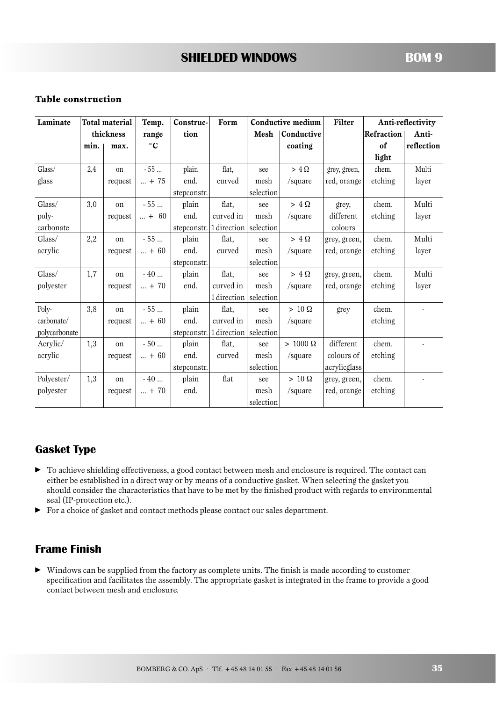#### **Table construction**

| Laminate      | <b>Total material</b> |           | Temp.         | Construc-   | Form                    | Conductive medium |                | Filter       |            | Anti-reflectivity |
|---------------|-----------------------|-----------|---------------|-------------|-------------------------|-------------------|----------------|--------------|------------|-------------------|
|               |                       | thickness | range         | tion        |                         | Mesh              | Conductive     |              | Refraction | Anti-             |
|               | min.                  | max.      | $\circ$ C     |             |                         |                   | coating        |              | of         | reflection        |
|               |                       |           |               |             |                         |                   |                |              | light      |                   |
| Glass/        | 2,4                   | on        | $-55$         | plain       | flat,                   | see               | $> 4 \Omega$   | grey, green, | chem.      | Multi             |
| glass         |                       | request   | $ + 75$       | end.        | curved                  | mesh              | /square        | red, orange  | etching    | layer             |
|               |                       |           |               | stepconstr. |                         | selection         |                |              |            |                   |
| Glass/        | 3,0                   | on        | $-55$         | plain       | flat,                   | see               | $> 4 \Omega$   | grey,        | chem.      | Multi             |
| poly-         |                       | request   | $ + 60$       | end.        | curved in               | mesh              | /square        | different    | etching    | layer             |
| carbonate     |                       |           |               |             | stepconstr. 1 direction | selection         |                | colours      |            |                   |
| Glass/        | 2,2                   | on        | $-55$         | plain       | flat,                   | see               | $> 4 \Omega$   | grey, green, | chem.      | Multi             |
| acrylic       |                       | request   | $ + 60$       | end.        | curved                  | mesh              | /square        | red, orange  | etching    | layer             |
|               |                       |           |               | stepconstr. |                         | selection         |                |              |            |                   |
| Glass/        | 1,7                   | on        | $-40$         | plain       | flat,                   | see               | $> 4 \Omega$   | grey, green, | chem.      | Multi             |
| polyester     |                       | request   | $ + 70$       | end.        | curved in               | mesh              | /square        | red, orange  | etching    | layer             |
|               |                       |           |               |             | 1 direction selection   |                   |                |              |            |                   |
| Poly-         | 3,8                   | on        | $-55$         | plain       | flat,                   | see               | $> 10 \Omega$  | grey         | chem.      |                   |
| carbonate/    |                       | request   | $ + 60$       | end.        | curved in               | mesh              | /square        |              | etching    |                   |
| polycarbonate |                       |           |               |             | stepconstr. 1 direction | selection         |                |              |            |                   |
| Acrylic/      | 1,3                   | on        | $-50$         | plain       | flat,                   | see               | $>1000 \Omega$ | different    | chem.      |                   |
| acrylic       |                       | request   | $ + 60$       | end.        | curved                  | mesh              | /square        | colours of   | etching    |                   |
|               |                       |           |               | stepconstr. |                         | selection         |                | acrylicglass |            |                   |
| Polyester/    | 1,3                   | on        | $-40$         | plain       | flat                    | see               | $> 10 \Omega$  | grey, green, | chem.      |                   |
| polyester     |                       | request   | $\ldots$ + 70 | end.        |                         | mesh              | /square        | red, orange  | etching    |                   |
|               |                       |           |               |             |                         | selection         |                |              |            |                   |

#### **Gasket Type**

- $\blacktriangleright$  To achieve shielding effectiveness, a good contact between mesh and enclosure is required. The contact can either be established in a direct way or by means of a conductive gasket. When selecting the gasket you should consider the characteristics that have to be met by the finished product with regards to environmental seal (IP-protection etc.).
- For a choice of gasket and contact methods please contact our sales department.

## **Frame Finish**

- Windows can be supplied from the factory as complete units. The finish is made according to customer specification and facilitates the assembly. The appropriate gasket is integrated in the frame to provide a good contact between mesh and enclosure.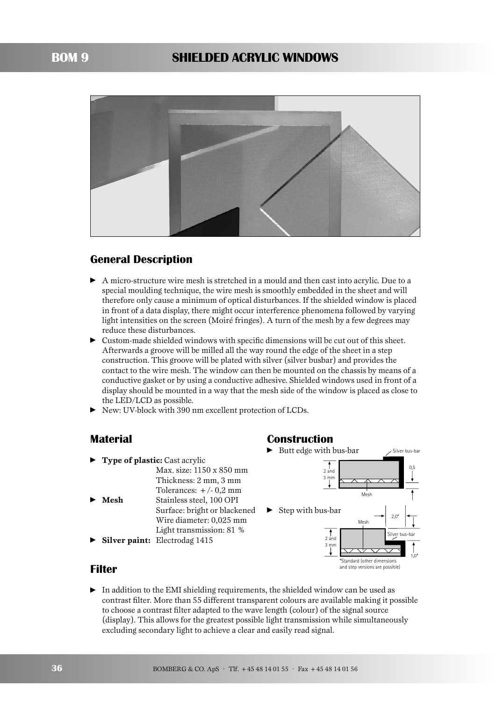

# **General Description**

- A micro-structure wire mesh is stretched in a mould and then cast into acrylic. Due to a special moulding technique, the wire mesh is smoothly embedded in the sheet and will therefore only cause a minimum of optical disturbances. If the shielded window is placed in front of a data display, there might occur interference phenomena followed by varying light intensities on the screen (Moiré fringes). A turn of the mesh by a few degrees may reduce these disturbances.
- Custom-made shielded windows with specific dimensions will be cut out of this sheet. Afterwards a groove will be milled all the way round the edge of the sheet in a step construction. This groove will be plated with silver (silver busbar) and provides the contact to the wire mesh. The window can then be mounted on the chassis by means of a conductive gasket or by using a conductive adhesive. Shielded windows used in front of a display should be mounted in a way that the mesh side of the window is placed as close to the LED/LCD as possible.
- -New: UV-block with 390 nm excellent protection of LCDs.

#### **Material**

#### - **Type of plastic:** Cast acrylic Max. size: 1150 x 850 mm Thickness: 2 mm, 3 mm Tolerances:  $+/- 0.2$  mm - **Mesh** Stainless steel, 100 OPI Surface: bright or blackened Wire diameter: 0,025 mm Light transmission: 81 %

-**Silver paint:** Electrodag 1415

#### **Construction**



#### **Filter**

- In addition to the EMI shielding requirements, the shielded window can be used as contrast filter. More than 55 different transparent colours are available making it possible to choose a contrast filter adapted to the wave length (colour) of the signal source (display). This allows for the greatest possible light transmission while simultaneously excluding secondary light to achieve a clear and easily read signal.